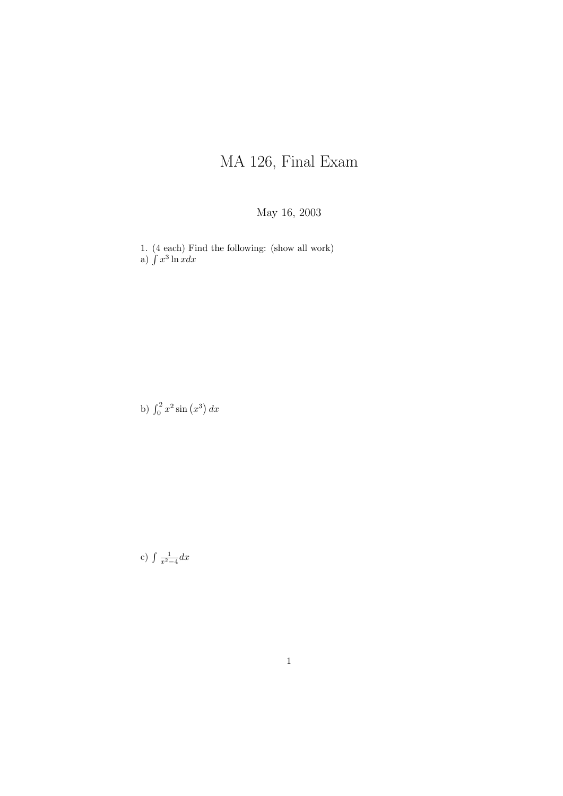## MA 126, Final Exam

## May 16, 2003

1. (4 each) Find the following: (show all work) a)  $\int x^3 \ln x dx$ 

b)  $\int_0^2 x^2 \sin(x^3) dx$ 

c)  $\int \frac{1}{x^2-4} dx$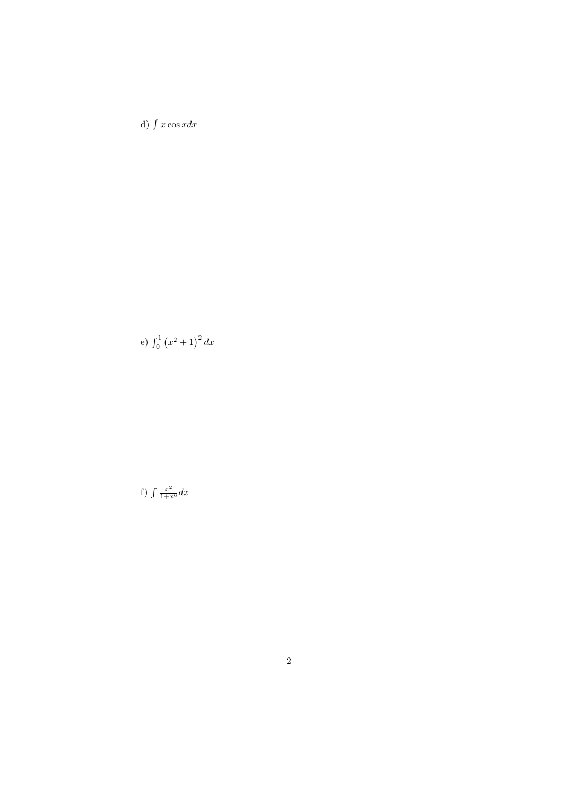d)  $\int x \cos x dx$ 

e)  $\int_0^1 (x^2 + 1)^2 dx$ 

f) 
$$
\int \frac{x^2}{1+x^6} dx
$$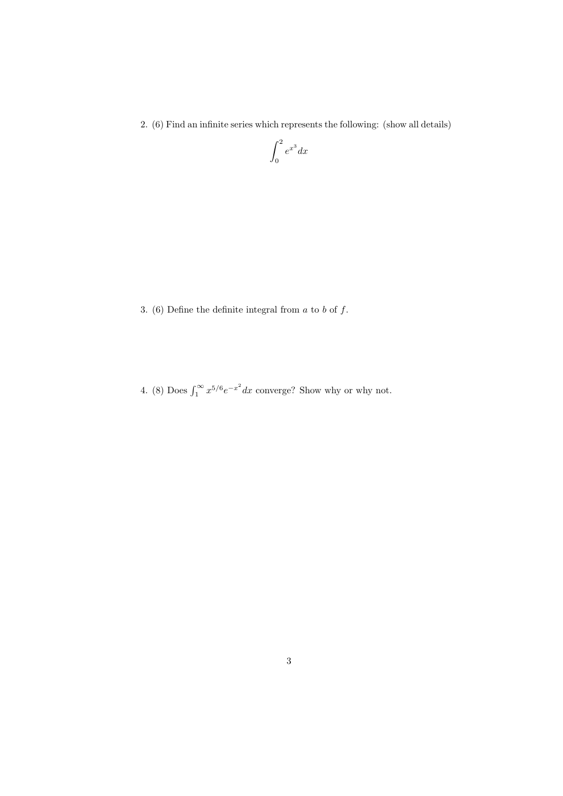2. (6) Find an infinite series which represents the following: (show all details)

$$
\int_0^2 e^{x^3} dx
$$

3. (6) Define the definite integral from  $a$  to  $b$  of  $f$ .

4. (8) Does  $\int_1^\infty x^{5/6} e^{-x^2} dx$  converge? Show why or why not.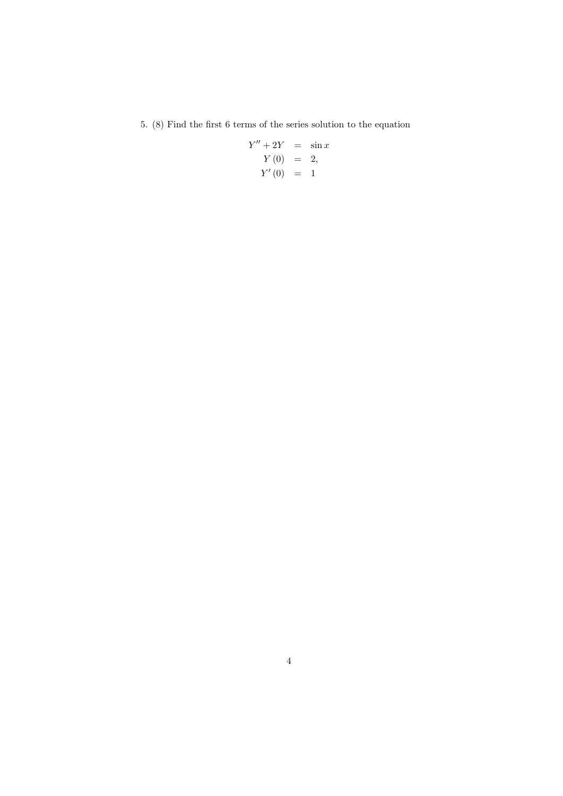5.  $(8)$  Find the first 6 terms of the series solution to the equation

$$
Y'' + 2Y = \sin x
$$
  

$$
Y(0) = 2,
$$
  

$$
Y'(0) = 1
$$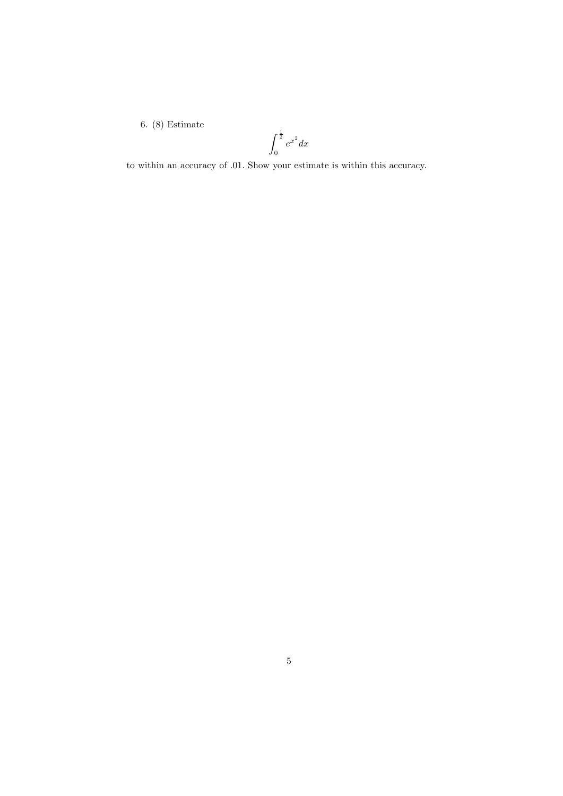6. (8) Estimate

$$
\int_0^{\frac{1}{2}} e^{x^2} dx
$$

to within an accuracy of .01. Show your estimate is within this accuracy.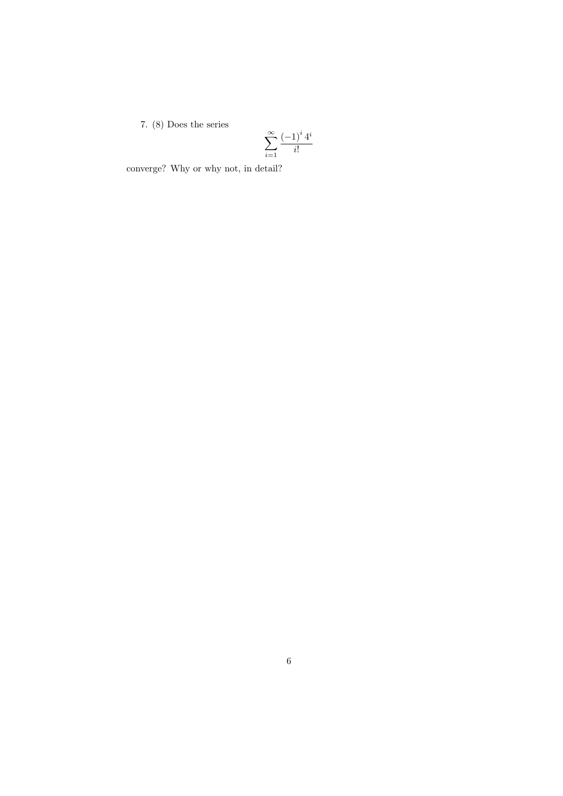## 7. (8) Does the series

$$
\sum_{i=1}^{\infty} \frac{(-1)^i 4^i}{i!}
$$

converge? Why or why not, in detail?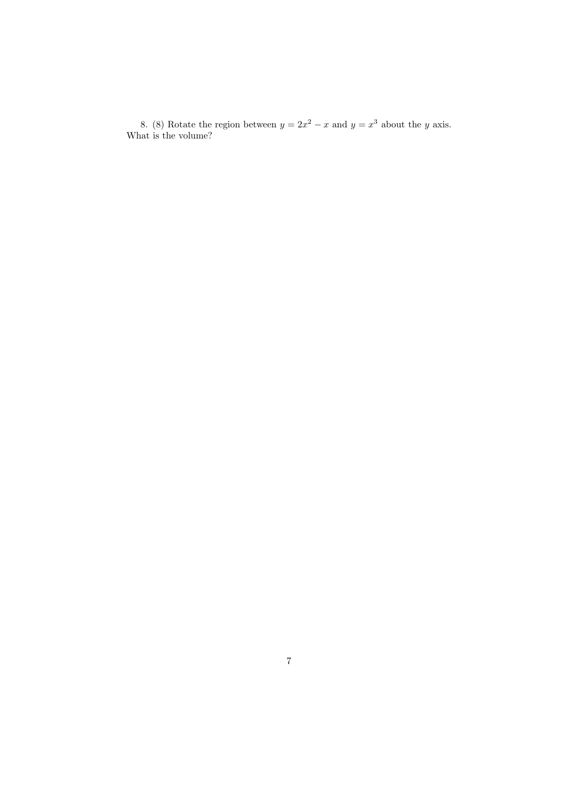8. (8) Rotate the region between  $y = 2x^2 - x$  and  $y = x^3$  about the y axis. What is the volume?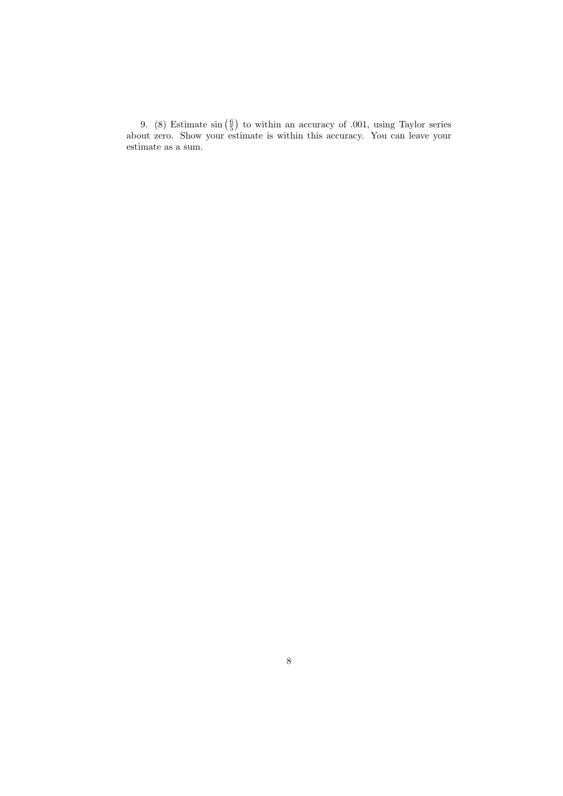9. (8) Estimate  $\sin\left(\frac{6}{5}\right)$  to within an accuracy of .001, using Taylor series about zero. Show your estimate is within this accuracy. You can leave your estimate as a sum.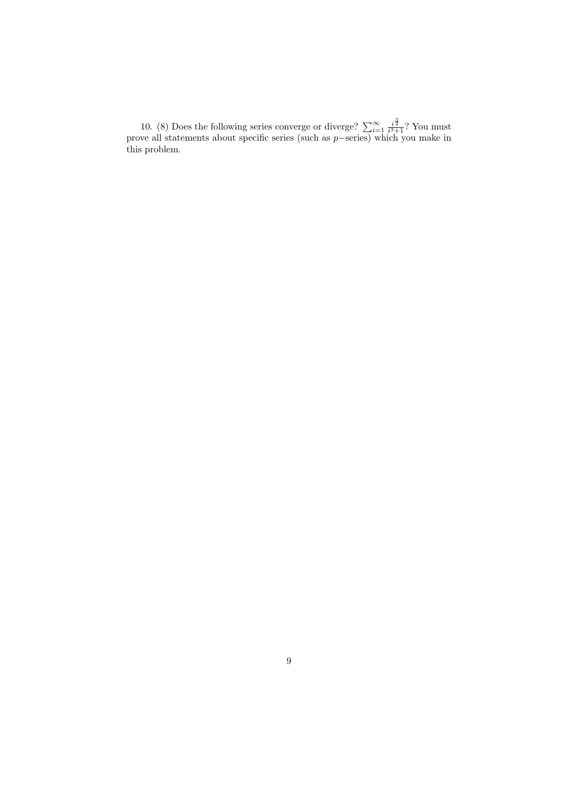10. (8) Does the following series converge or diverge?  $\sum_{i=1}^{\infty} \frac{i^{\frac{3}{2}}}{i^3+1}$ ? You must prove all statements about specific series (such as p−series) which you make in this problem.